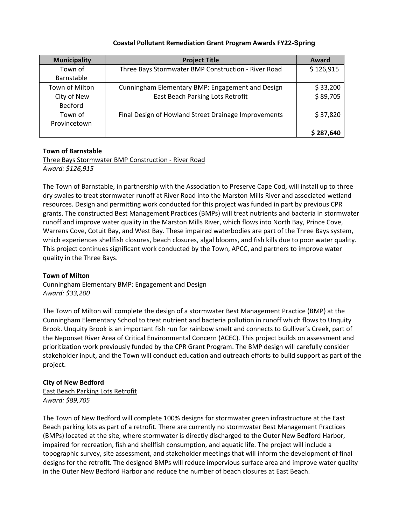#### **Coastal Pollutant Remediation Grant Program Awards FY22-Spring**

| <b>Municipality</b> | <b>Project Title</b>                                 | Award     |
|---------------------|------------------------------------------------------|-----------|
| Town of             | Three Bays Stormwater BMP Construction - River Road  | \$126,915 |
| Barnstable          |                                                      |           |
| Town of Milton      | Cunningham Elementary BMP: Engagement and Design     | \$33,200  |
| City of New         | East Beach Parking Lots Retrofit                     | \$89,705  |
| Bedford             |                                                      |           |
| Town of             | Final Design of Howland Street Drainage Improvements | \$37,820  |
| Provincetown        |                                                      |           |
|                     |                                                      | \$287,640 |

### **Town of Barnstable**

Three Bays Stormwater BMP Construction - River Road *Award: \$126,915*

The Town of Barnstable, in partnership with the Association to Preserve Cape Cod, will install up to three dry swales to treat stormwater runoff at River Road into the Marston Mills River and associated wetland resources. Design and permitting work conducted for this project was funded in part by previous CPR grants. The constructed Best Management Practices (BMPs) will treat nutrients and bacteria in stormwater runoff and improve water quality in the Marston Mills River, which flows into North Bay, Prince Cove, Warrens Cove, Cotuit Bay, and West Bay. These impaired waterbodies are part of the Three Bays system, which experiences shellfish closures, beach closures, algal blooms, and fish kills due to poor water quality. This project continues significant work conducted by the Town, APCC, and partners to improve water quality in the Three Bays.

#### **Town of Milton**

Cunningham Elementary BMP: Engagement and Design *Award: \$33,200*

The Town of Milton will complete the design of a stormwater Best Management Practice (BMP) at the Cunningham Elementary School to treat nutrient and bacteria pollution in runoff which flows to Unquity Brook. Unquity Brook is an important fish run for rainbow smelt and connects to Gulliver's Creek, part of the Neponset River Area of Critical Environmental Concern (ACEC). This project builds on assessment and prioritization work previously funded by the CPR Grant Program. The BMP design will carefully consider stakeholder input, and the Town will conduct education and outreach efforts to build support as part of the project.

## **City of New Bedford**

East Beach Parking Lots Retrofit *Award: \$89,705*

The Town of New Bedford will complete 100% designs for stormwater green infrastructure at the East Beach parking lots as part of a retrofit. There are currently no stormwater Best Management Practices (BMPs) located at the site, where stormwater is directly discharged to the Outer New Bedford Harbor, impaired for recreation, fish and shellfish consumption, and aquatic life. The project will include a topographic survey, site assessment, and stakeholder meetings that will inform the development of final designs for the retrofit. The designed BMPs will reduce impervious surface area and improve water quality in the Outer New Bedford Harbor and reduce the number of beach closures at East Beach.